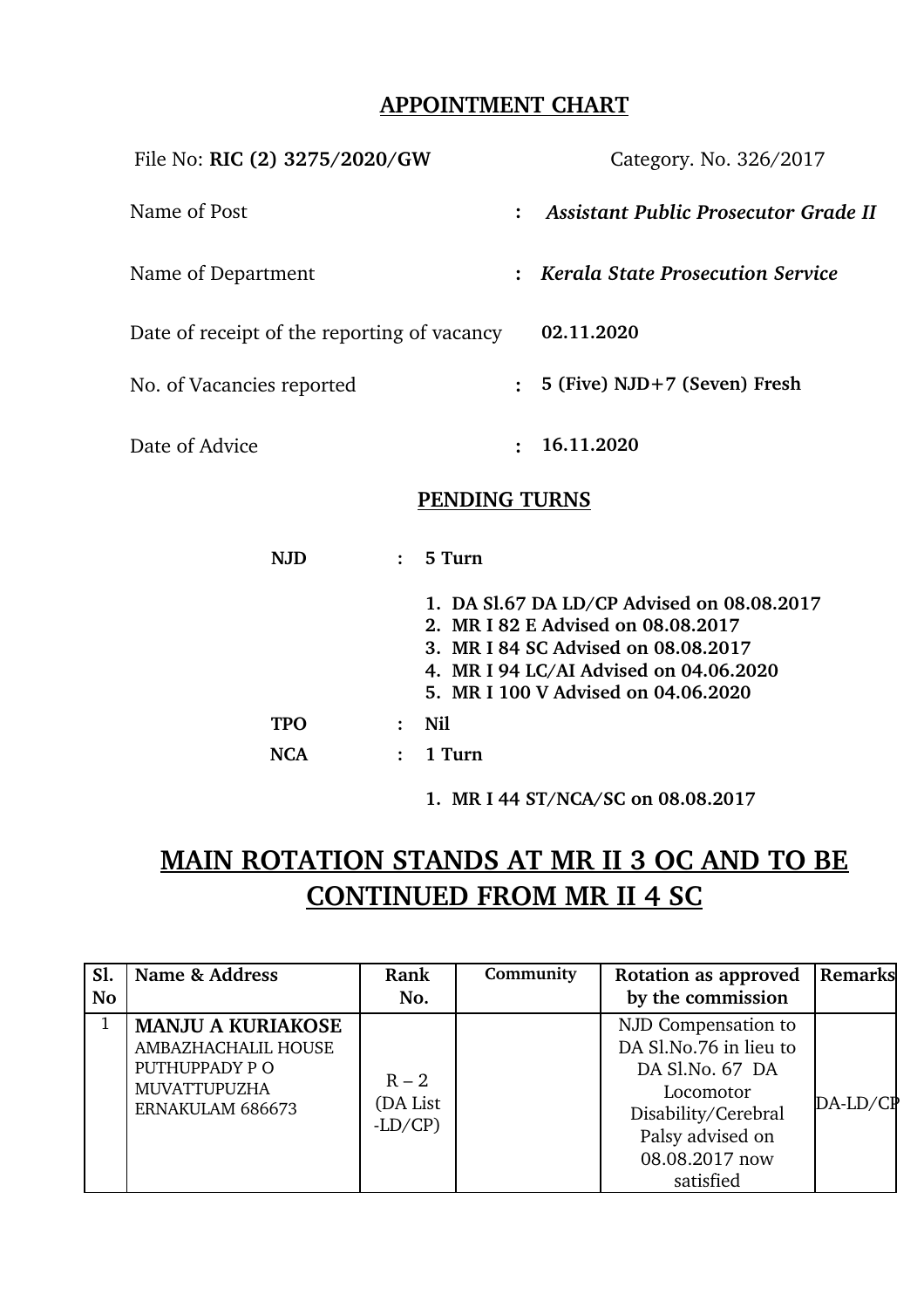# **APPOINTMENT CHART**

| File No: RIC (2) 3275/2020/GW               |                | Category. No. 326/2017                      |
|---------------------------------------------|----------------|---------------------------------------------|
| Name of Post                                | $\ddot{\cdot}$ | <b>Assistant Public Prosecutor Grade II</b> |
| Name of Department                          | $\ddot{\cdot}$ | <b>Kerala State Prosecution Service</b>     |
| Date of receipt of the reporting of vacancy |                | 02.11.2020                                  |
| No. of Vacancies reported                   | $\ddot{\cdot}$ | 5 (Five) NJD+7 (Seven) Fresh                |
| Date of Advice                              | $\ddot{\cdot}$ | 16.11.2020                                  |

### **PENDING TURNS**

|            | 5 Turn                                                                                                                                                                                                   |  |  |  |
|------------|----------------------------------------------------------------------------------------------------------------------------------------------------------------------------------------------------------|--|--|--|
|            | 1. DA S1.67 DA LD/CP Advised on 08.08.2017<br>2. MR I 82 E Advised on 08.08.2017<br>3. MR I 84 SC Advised on 08.08.2017<br>4. MR I 94 LC/AI Advised on 04.06.2020<br>5. MR I 100 V Advised on 04.06.2020 |  |  |  |
| <b>TPO</b> | Nil.                                                                                                                                                                                                     |  |  |  |
| NCA        | $1$ Turn                                                                                                                                                                                                 |  |  |  |

**1. MR I 44 ST/NCA/SC on 08.08.2017**

# **MAIN ROTATION STANDS AT MR II 3 OC AND TO BE CONTINUED FROM MR II 4 SC**

| Sl.       | Name & Address                                                                                              | Rank                            | Community | Rotation as approved                                                                                                                                    | Remarks    |
|-----------|-------------------------------------------------------------------------------------------------------------|---------------------------------|-----------|---------------------------------------------------------------------------------------------------------------------------------------------------------|------------|
| <b>No</b> | No.                                                                                                         |                                 |           | by the commission                                                                                                                                       |            |
| 1         | <b>MANJU A KURIAKOSE</b><br>AMBAZHACHALIL HOUSE<br>PUTHUPPADY PO<br><b>MUVATTUPUZHA</b><br>ERNAKULAM 686673 | $R - 2$<br>(DA List<br>$-LD/CP$ |           | NJD Compensation to<br>DA Sl.No.76 in lieu to<br>DA Sl.No. 67 DA<br>Locomotor<br>Disability/Cerebral<br>Palsy advised on<br>08.08.2017 now<br>satisfied | $DA-LD/CP$ |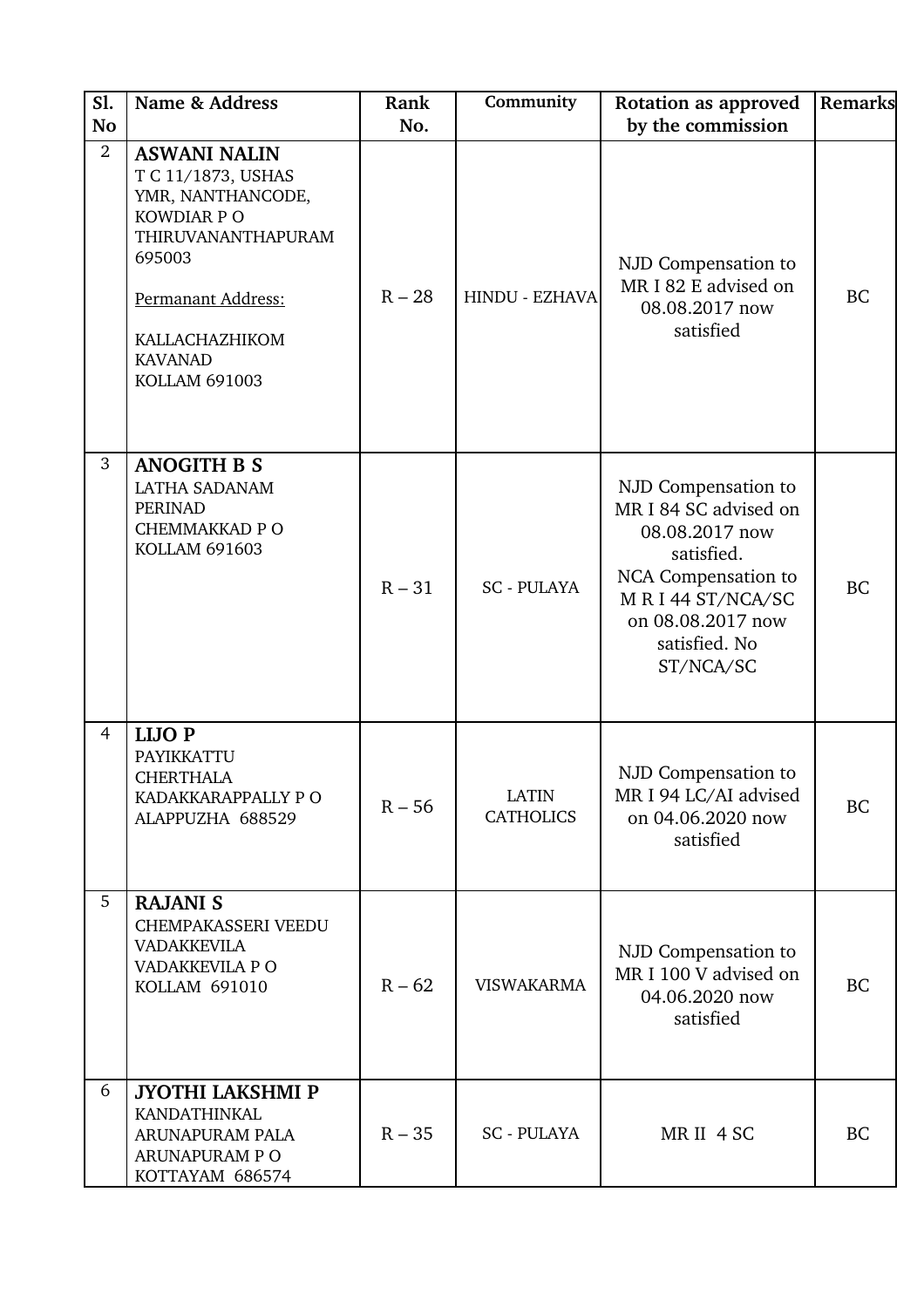| <b>S1.</b><br><b>No</b> | Name & Address                                                                                                                                                                                  | Rank<br>No. | Community                        | Rotation as approved<br>by the commission                                                                                                                                 | Remarks   |
|-------------------------|-------------------------------------------------------------------------------------------------------------------------------------------------------------------------------------------------|-------------|----------------------------------|---------------------------------------------------------------------------------------------------------------------------------------------------------------------------|-----------|
| $\overline{2}$          | <b>ASWANI NALIN</b><br>T C 11/1873, USHAS<br>YMR, NANTHANCODE,<br>KOWDIAR P O<br>THIRUVANANTHAPURAM<br>695003<br>Permanant Address:<br>KALLACHAZHIKOM<br><b>KAVANAD</b><br><b>KOLLAM 691003</b> | $R - 28$    | <b>HINDU - EZHAVA</b>            | NJD Compensation to<br>MR I 82 E advised on<br>08.08.2017 now<br>satisfied                                                                                                | <b>BC</b> |
| 3                       | <b>ANOGITH B S</b><br><b>LATHA SADANAM</b><br><b>PERINAD</b><br><b>CHEMMAKKAD P O</b><br><b>KOLLAM 691603</b>                                                                                   | $R - 31$    | <b>SC - PULAYA</b>               | NJD Compensation to<br>MR I 84 SC advised on<br>08.08.2017 now<br>satisfied.<br>NCA Compensation to<br>MRI44 ST/NCA/SC<br>on 08.08.2017 now<br>satisfied. No<br>ST/NCA/SC | <b>BC</b> |
| 4                       | <b>LIJOP</b><br>PAYIKKATTU<br><b>CHERTHALA</b><br>KADAKKARAPPALLY P O<br>ALAPPUZHA 688529                                                                                                       | $R - 56$    | <b>LATIN</b><br><b>CATHOLICS</b> | NJD Compensation to<br>MR I 94 LC/AI advised<br>on 04.06.2020 now<br>satisfied                                                                                            | <b>BC</b> |
| 5                       | <b>RAJANI S</b><br>CHEMPAKASSERI VEEDU<br><b>VADAKKEVILA</b><br>VADAKKEVILA P O<br>KOLLAM 691010                                                                                                | $R - 62$    | <b>VISWAKARMA</b>                | NJD Compensation to<br>MR I 100 V advised on<br>04.06.2020 now<br>satisfied                                                                                               | <b>BC</b> |
| 6                       | <b>JYOTHI LAKSHMI P</b><br><b>KANDATHINKAL</b><br>ARUNAPURAM PALA<br>ARUNAPURAM PO<br>KOTTAYAM 686574                                                                                           | $R - 35$    | <b>SC - PULAYA</b>               | MR II 4 SC                                                                                                                                                                | <b>BC</b> |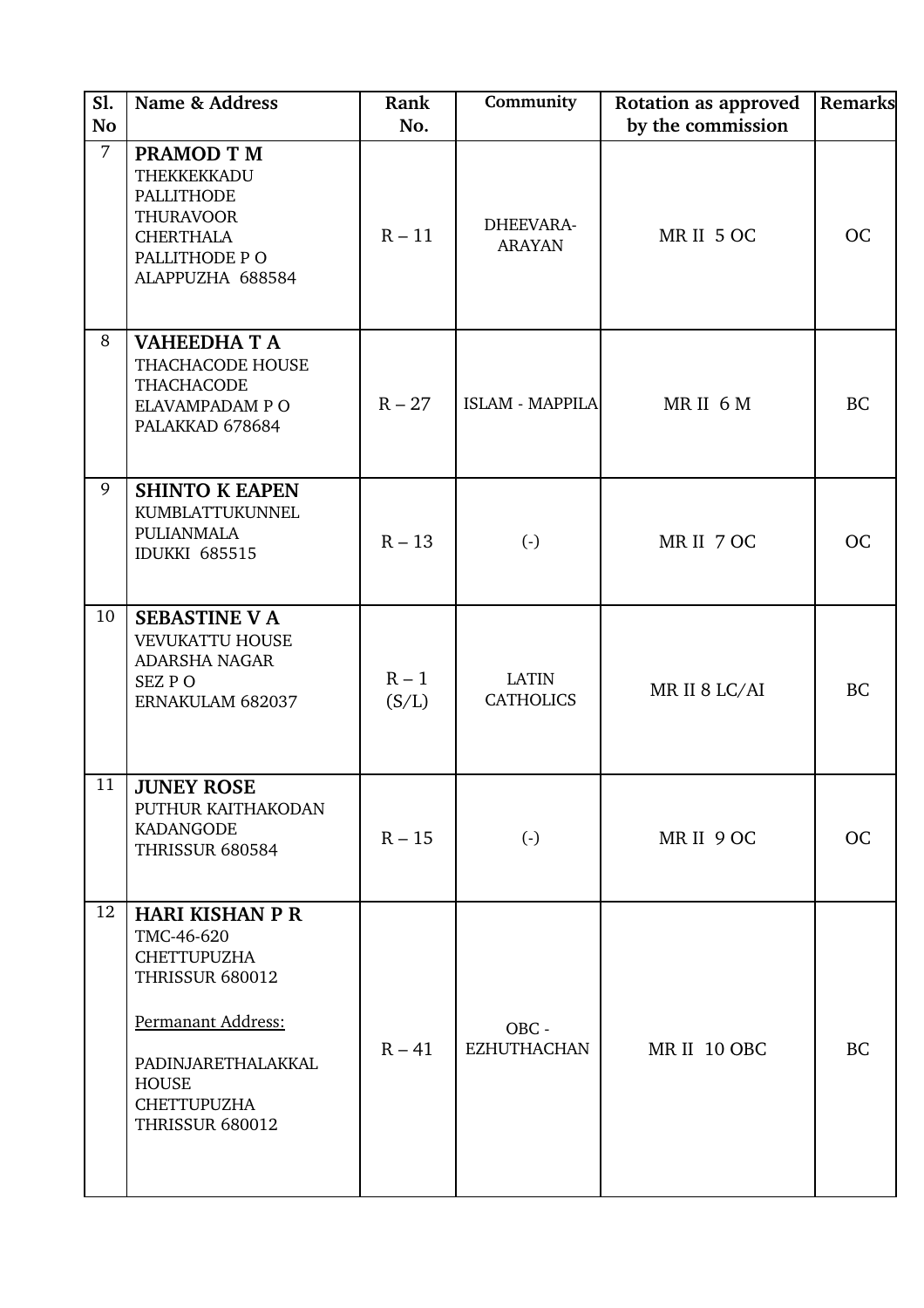| S1.<br><b>No</b> | Name & Address                                                                                                                                                                                   | Rank<br>No.      | Community                        | Rotation as approved<br>by the commission | Remarks   |
|------------------|--------------------------------------------------------------------------------------------------------------------------------------------------------------------------------------------------|------------------|----------------------------------|-------------------------------------------|-----------|
| $\overline{7}$   | <b>PRAMOD T M</b><br>THEKKEKKADU<br><b>PALLITHODE</b><br><b>THURAVOOR</b><br><b>CHERTHALA</b><br>PALLITHODE PO<br>ALAPPUZHA 688584                                                               | $R - 11$         | DHEEVARA-<br><b>ARAYAN</b>       | MR II 5 OC                                | <b>OC</b> |
| 8                | <b>VAHEEDHA T A</b><br>THACHACODE HOUSE<br><b>THACHACODE</b><br>ELAVAMPADAM PO<br>PALAKKAD 678684                                                                                                | $R - 27$         | ISLAM - MAPPILA                  | MRII 6M                                   | <b>BC</b> |
| 9                | <b>SHINTO K EAPEN</b><br>KUMBLATTUKUNNEL<br>PULIANMALA<br><b>IDUKKI 685515</b>                                                                                                                   | $R - 13$         | $(\cdot)$                        | MR II 7 OC                                | <b>OC</b> |
| 10               | <b>SEBASTINE V A</b><br><b>VEVUKATTU HOUSE</b><br><b>ADARSHA NAGAR</b><br>SEZ PO<br>ERNAKULAM 682037                                                                                             | $R - 1$<br>(S/L) | <b>LATIN</b><br><b>CATHOLICS</b> | MR II 8 LC/AI                             | <b>BC</b> |
| 11               | <b>JUNEY ROSE</b><br>PUTHUR KAITHAKODAN<br>KADANGODE<br><b>THRISSUR 680584</b>                                                                                                                   | $R - 15$         | $(\cdot)$                        | MRII 9 OC                                 | OC        |
| 12               | <b>HARI KISHAN P R</b><br>TMC-46-620<br><b>CHETTUPUZHA</b><br><b>THRISSUR 680012</b><br>Permanant Address:<br>PADINJARETHALAKKAL<br><b>HOUSE</b><br><b>CHETTUPUZHA</b><br><b>THRISSUR 680012</b> | $R - 41$         | OBC -<br><b>EZHUTHACHAN</b>      | MR II 10 OBC                              | <b>BC</b> |